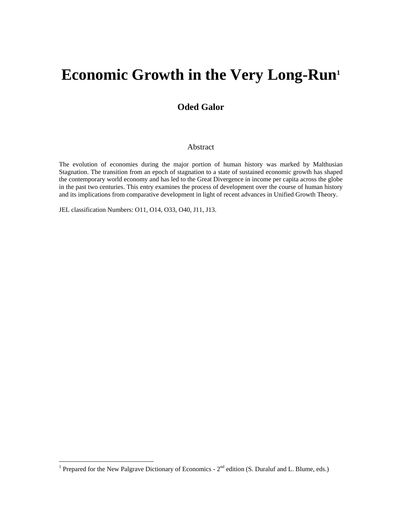# Economic Growth in the Very Long-Run<sup>1</sup>

# **Oded Galor**

### Abstract

The evolution of economies during the major portion of human history was marked by Malthusian Stagnation. The transition from an epoch of stagnation to a state of sustained economic growth has shaped the contemporary world economy and has led to the Great Divergence in income per capita across the globe in the past two centuries. This entry examines the process of development over the course of human history and its implications from comparative development in light of recent advances in Unified Growth Theory.

JEL classification Numbers: O11, O14, O33, O40, J11, J13.

<sup>&</sup>lt;sup>1</sup> Prepared for the New Palgrave Dictionary of Economics -  $2^{nd}$  edition (S. Duraluf and L. Blume, eds.)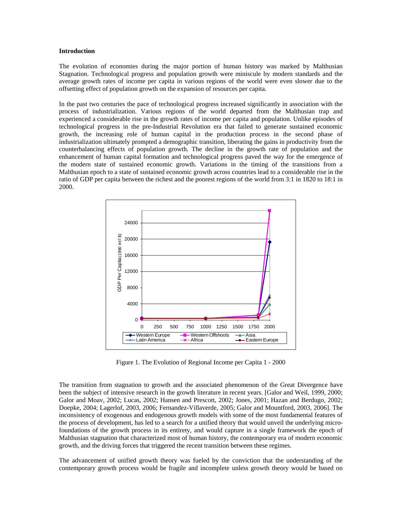## **Introduction**

The evolution of economies during the major portion of human history was marked by Malthusian Stagnation. Technological progress and population growth were miniscule by modern standards and the average growth rates of income per capita in various regions of the world were even slower due to the offsetting effect of population growth on the expansion of resources per capita.

In the past two centuries the pace of technological progress increased significantly in association with the process of industrialization. Various regions of the world departed from the Malthusian trap and experienced a considerable rise in the growth rates of income per capita and population. Unlike episodes of technological progress in the pre-Industrial Revolution era that failed to generate sustained economic growth, the increasing role of human capital in the production process in the second phase of industrialization ultimately prompted a demographic transition, liberating the gains in productivity from the counterbalancing effects of population growth. The decline in the growth rate of population and the enhancement of human capital formation and technological progress paved the way for the emergence of the modern state of sustained economic growth. Variations in the timing of the transitions from a Malthusian epoch to a state of sustained economic growth across countries lead to a considerable rise in the ratio of GDP per capita between the richest and the poorest regions of the world from 3:1 in 1820 to 18:1 in 2000.



Figure 1. The Evolution of Regional Income per Capita 1 - 2000

The transition from stagnation to growth and the associated phenomenon of the Great Divergence have been the subject of intensive research in the growth literature in recent years. [Galor and Weil, 1999, 2000; Galor and Moav, 2002; Lucas, 2002; Hansen and Prescott, 2002; Jones, 2001; Hazan and Berdugo, 2002; Doepke, 2004; Lagerlof, 2003, 2006; Fernandez-Villaverde, 2005; Galor and Mountford, 2003, 2006]. The inconsistency of exogenous and endogenous growth models with some of the most fundamental features of the process of development, has led to a search for a unified theory that would unveil the underlying microfoundations of the growth process in its entirety, and would capture in a single framework the epoch of Malthusian stagnation that characterized most of human history, the contemporary era of modern economic growth, and the driving forces that triggered the recent transition between these regimes.

The advancement of unified growth theory was fueled by the conviction that the understanding of the contemporary growth process would be fragile and incomplete unless growth theory would be based on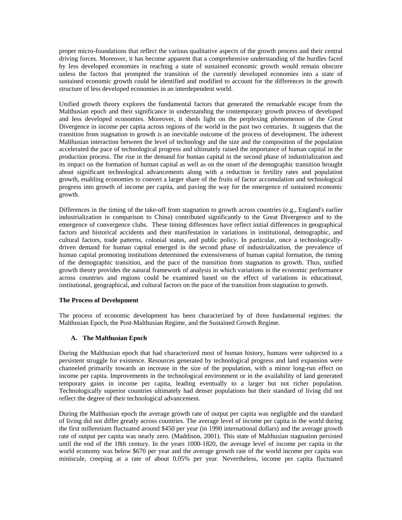proper micro-foundations that reflect the various qualitative aspects of the growth process and their central driving forces. Moreover, it has become apparent that a comprehensive understanding of the hurdles faced by less developed economies in reaching a state of sustained economic growth would remain obscure unless the factors that prompted the transition of the currently developed economies into a state of sustained economic growth could be identified and modified to account for the differences in the growth structure of less developed economies in an interdependent world.

Unified growth theory explores the fundamental factors that generated the remarkable escape from the Malthusian epoch and their significance in understanding the contemporary growth process of developed and less developed economies. Moreover, it sheds light on the perplexing phenomenon of the Great Divergence in income per capita across regions of the world in the past two centuries. It suggests that the transition from stagnation to growth is an inevitable outcome of the process of development. The inherent Malthusian interaction between the level of technology and the size and the composition of the population accelerated the pace of technological progress and ultimately raised the importance of human capital in the production process. The rise in the demand for human capital in the second phase of industrialization and its impact on the formation of human capital as well as on the onset of the demographic transition brought about significant technological advancements along with a reduction in fertility rates and population growth, enabling economies to convert a larger share of the fruits of factor accumulation and technological progress into growth of income per capita, and paving the way for the emergence of sustained economic growth.

Differences in the timing of the take-off from stagnation to growth across countries (e.g., England's earlier industrialization in comparison to China) contributed significantly to the Great Divergence and to the emergence of convergence clubs. These timing differences have reflect initial differences in geographical factors and historical accidents and their manifestation in variations in institutional, demographic, and cultural factors, trade patterns, colonial status, and public policy. In particular, once a technologicallydriven demand for human capital emerged in the second phase of industrialization, the prevalence of human capital promoting institutions determined the extensiveness of human capital formation, the timing of the demographic transition, and the pace of the transition from stagnation to growth. Thus, unified growth theory provides the natural framework of analysis in which variations in the economic performance across countries and regions could be examined based on the effect of variations in educational, institutional, geographical, and cultural factors on the pace of the transition from stagnation to growth.

## **The Process of Development**

The process of economic development has been characterized by of three fundamental regimes: the Malthusian Epoch, the Post-Malthusian Regime, and the Sustained Growth Regime.

#### **A. The Malthusian Epoch**

During the Malthusian epoch that had characterized most of human history, humans were subjected to a persistent struggle for existence. Resources generated by technological progress and land expansion were channeled primarily towards an increase in the size of the population, with a minor long-run effect on income per capita. Improvements in the technological environment or in the availability of land generated temporary gains in income per capita, leading eventually to a larger but not richer population. Technologically superior countries ultimately had denser populations but their standard of living did not reflect the degree of their technological advancement.

During the Malthusian epoch the average growth rate of output per capita was negligible and the standard of living did not differ greatly across countries. The average level of income per capita in the world during the first millennium fluctuated around \$450 per year (in 1990 international dollars) and the average growth rate of output per capita was nearly zero. (Maddison, 2001). This state of Malthusian stagnation persisted until the end of the 18th century. In the years 1000-1820, the average level of income per capita in the world economy was below \$670 per year and the average growth rate of the world income per capita was miniscule, creeping at a rate of about 0.05% per year. Nevertheless, income per capita fluctuated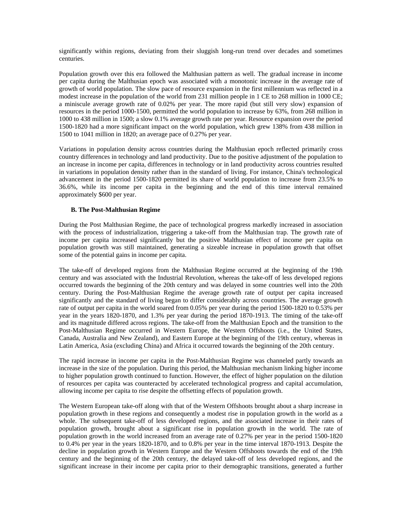significantly within regions, deviating from their sluggish long-run trend over decades and sometimes centuries.

Population growth over this era followed the Malthusian pattern as well. The gradual increase in income per capita during the Malthusian epoch was associated with a monotonic increase in the average rate of growth of world population. The slow pace of resource expansion in the first millennium was reflected in a modest increase in the population of the world from 231 million people in 1 CE to 268 million in 1000 CE; a miniscule average growth rate of 0.02% per year. The more rapid (but still very slow) expansion of resources in the period 1000-1500, permitted the world population to increase by 63%, from 268 million in 1000 to 438 million in 1500; a slow 0.1% average growth rate per year. Resource expansion over the period 1500-1820 had a more significant impact on the world population, which grew 138% from 438 million in 1500 to 1041 million in 1820; an average pace of 0.27% per year.

Variations in population density across countries during the Malthusian epoch reflected primarily cross country differences in technology and land productivity. Due to the positive adjustment of the population to an increase in income per capita, differences in technology or in land productivity across countries resulted in variations in population density rather than in the standard of living. For instance, China's technological advancement in the period 1500-1820 permitted its share of world population to increase from 23.5% to 36.6%, while its income per capita in the beginning and the end of this time interval remained approximately \$600 per year.

# **B. The Post-Malthusian Regime**

During the Post Malthusian Regime, the pace of technological progress markedly increased in association with the process of industrialization, triggering a take-off from the Malthusian trap. The growth rate of income per capita increased significantly but the positive Malthusian effect of income per capita on population growth was still maintained, generating a sizeable increase in population growth that offset some of the potential gains in income per capita.

The take-off of developed regions from the Malthusian Regime occurred at the beginning of the 19th century and was associated with the Industrial Revolution, whereas the take-off of less developed regions occurred towards the beginning of the 20th century and was delayed in some countries well into the 20th century. During the Post-Malthusian Regime the average growth rate of output per capita increased significantly and the standard of living began to differ considerably across countries. The average growth rate of output per capita in the world soared from 0.05% per year during the period 1500-1820 to 0.53% per year in the years 1820-1870, and 1.3% per year during the period 1870-1913. The timing of the take-off and its magnitude differed across regions. The take-off from the Malthusian Epoch and the transition to the Post-Malthusian Regime occurred in Western Europe, the Western Offshoots (i.e., the United States, Canada, Australia and New Zealand), and Eastern Europe at the beginning of the 19th century, whereas in Latin America, Asia (excluding China) and Africa it occurred towards the beginning of the 20th century.

The rapid increase in income per capita in the Post-Malthusian Regime was channeled partly towards an increase in the size of the population. During this period, the Malthusian mechanism linking higher income to higher population growth continued to function. However, the effect of higher population on the dilution of resources per capita was counteracted by accelerated technological progress and capital accumulation, allowing income per capita to rise despite the offsetting effects of population growth.

The Western European take-off along with that of the Western Offshoots brought about a sharp increase in population growth in these regions and consequently a modest rise in population growth in the world as a whole. The subsequent take-off of less developed regions, and the associated increase in their rates of population growth, brought about a significant rise in population growth in the world. The rate of population growth in the world increased from an average rate of 0.27% per year in the period 1500-1820 to 0.4% per year in the years 1820-1870, and to 0.8% per year in the time interval 1870-1913. Despite the decline in population growth in Western Europe and the Western Offshoots towards the end of the 19th century and the beginning of the 20th century, the delayed take-off of less developed regions, and the significant increase in their income per capita prior to their demographic transitions, generated a further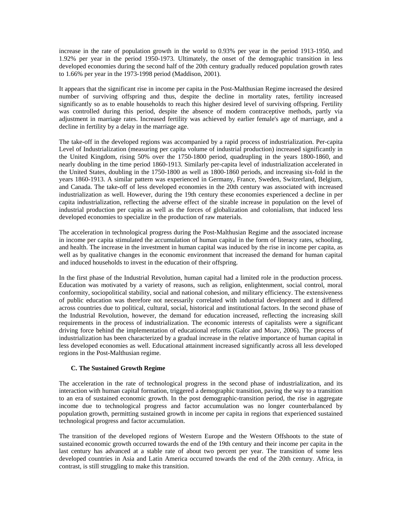increase in the rate of population growth in the world to 0.93% per year in the period 1913-1950, and 1.92% per year in the period 1950-1973. Ultimately, the onset of the demographic transition in less developed economies during the second half of the 20th century gradually reduced population growth rates to 1.66% per year in the 1973-1998 period (Maddison, 2001).

It appears that the significant rise in income per capita in the Post-Malthusian Regime increased the desired number of surviving offspring and thus, despite the decline in mortality rates, fertility increased significantly so as to enable households to reach this higher desired level of surviving offspring. Fertility was controlled during this period, despite the absence of modern contraceptive methods, partly via adjustment in marriage rates. Increased fertility was achieved by earlier female's age of marriage, and a decline in fertility by a delay in the marriage age.

The take-off in the developed regions was accompanied by a rapid process of industrialization. Per-capita Level of Industrialization (measuring per capita volume of industrial production) increased significantly in the United Kingdom, rising 50% over the 1750-1800 period, quadrupling in the years 1800-1860, and nearly doubling in the time period 1860-1913. Similarly per-capita level of industrialization accelerated in the United States, doubling in the 1750-1800 as well as 1800-1860 periods, and increasing six-fold in the years 1860-1913. A similar pattern was experienced in Germany, France, Sweden, Switzerland, Belgium, and Canada. The take-off of less developed economies in the 20th century was associated with increased industrialization as well. However, during the 19th century these economies experienced a decline in per capita industrialization, reflecting the adverse effect of the sizable increase in population on the level of industrial production per capita as well as the forces of globalization and colonialism, that induced less developed economies to specialize in the production of raw materials.

The acceleration in technological progress during the Post-Malthusian Regime and the associated increase in income per capita stimulated the accumulation of human capital in the form of literacy rates, schooling, and health. The increase in the investment in human capital was induced by the rise in income per capita, as well as by qualitative changes in the economic environment that increased the demand for human capital and induced households to invest in the education of their offspring.

In the first phase of the Industrial Revolution, human capital had a limited role in the production process. Education was motivated by a variety of reasons, such as religion, enlightenment, social control, moral conformity, sociopolitical stability, social and national cohesion, and military efficiency. The extensiveness of public education was therefore not necessarily correlated with industrial development and it differed across countries due to political, cultural, social, historical and institutional factors. In the second phase of the Industrial Revolution, however, the demand for education increased, reflecting the increasing skill requirements in the process of industrialization. The economic interests of capitalists were a significant driving force behind the implementation of educational reforms (Galor and Moav, 2006). The process of industrialization has been characterized by a gradual increase in the relative importance of human capital in less developed economies as well. Educational attainment increased significantly across all less developed regions in the Post-Malthusian regime.

# **C. The Sustained Growth Regime**

The acceleration in the rate of technological progress in the second phase of industrialization, and its interaction with human capital formation, triggered a demographic transition, paving the way to a transition to an era of sustained economic growth. In the post demographic-transition period, the rise in aggregate income due to technological progress and factor accumulation was no longer counterbalanced by population growth, permitting sustained growth in income per capita in regions that experienced sustained technological progress and factor accumulation.

The transition of the developed regions of Western Europe and the Western Offshoots to the state of sustained economic growth occurred towards the end of the 19th century and their income per capita in the last century has advanced at a stable rate of about two percent per year. The transition of some less developed countries in Asia and Latin America occurred towards the end of the 20th century. Africa, in contrast, is still struggling to make this transition.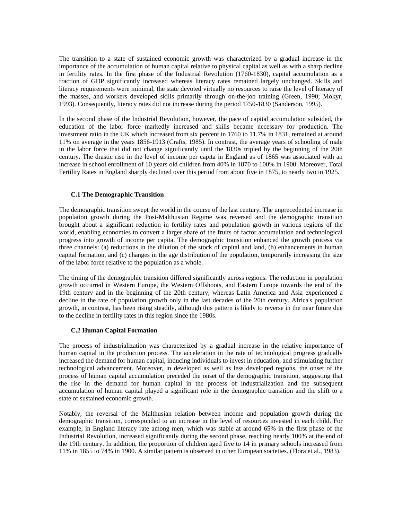The transition to a state of sustained economic growth was characterized by a gradual increase in the importance of the accumulation of human capital relative to physical capital as well as with a sharp decline in fertility rates. In the first phase of the Industrial Revolution (1760-1830), capital accumulation as a fraction of GDP significantly increased whereas literacy rates remained largely unchanged. Skills and literacy requirements were minimal, the state devoted virtually no resources to raise the level of literacy of the masses, and workers developed skills primarily through on-the-job training (Green, 1990; Mokyr, 1993). Consequently, literacy rates did not increase during the period 1750-1830 (Sanderson, 1995).

In the second phase of the Industrial Revolution, however, the pace of capital accumulation subsided, the education of the labor force markedly increased and skills became necessary for production. The investment ratio in the UK which increased from six percent in 1760 to 11.7% in 1831, remained at around 11% on average in the years 1856-1913 (Crafts, 1985). In contrast, the average years of schooling of male in the labor force that did not change significantly until the 1830s tripled by the beginning of the 20th century. The drastic rise in the level of income per capita in England as of 1865 was associated with an increase in school enrollment of 10 years old children from 40% in 1870 to 100% in 1900. Moreover, Total Fertility Rates in England sharply declined over this period from about five in 1875, to nearly two in 1925.

# **C.1 The Demographic Transition**

The demographic transition swept the world in the course of the last century. The unprecedented increase in population growth during the Post-Malthusian Regime was reversed and the demographic transition brought about a significant reduction in fertility rates and population growth in various regions of the world, enabling economies to convert a larger share of the fruits of factor accumulation and technological progress into growth of income per capita. The demographic transition enhanced the growth process via three channels: (a) reductions in the dilution of the stock of capital and land, (b) enhancements in human capital formation, and (c) changes in the age distribution of the population, temporarily increasing the size of the labor force relative to the population as a whole.

The timing of the demographic transition differed significantly across regions. The reduction in population growth occurred in Western Europe, the Western Offshoots, and Eastern Europe towards the end of the 19th century and in the beginning of the 20th century, whereas Latin America and Asia experienced a decline in the rate of population growth only in the last decades of the 20th century. Africa's population growth, in contrast, has been rising steadily, although this pattern is likely to reverse in the near future due to the decline in fertility rates in this region since the 1980s.

#### **C.2 Human Capital Formation**

The process of industrialization was characterized by a gradual increase in the relative importance of human capital in the production process. The acceleration in the rate of technological progress gradually increased the demand for human capital, inducing individuals to invest in education, and stimulating further technological advancement. Moreover, in developed as well as less developed regions, the onset of the process of human capital accumulation preceded the onset of the demographic transition, suggesting that the rise in the demand for human capital in the process of industrialization and the subsequent accumulation of human capital played a significant role in the demographic transition and the shift to a state of sustained economic growth.

Notably, the reversal of the Malthusian relation between income and population growth during the demographic transition, corresponded to an increase in the level of resources invested in each child. For example, in England literacy rate among men, which was stable at around 65% in the first phase of the Industrial Revolution, increased significantly during the second phase, reaching nearly 100% at the end of the 19th century. In addition, the proportion of children aged five to 14 in primary schools increased from 11% in 1855 to 74% in 1900. A similar pattern is observed in other European societies. (Flora et al., 1983).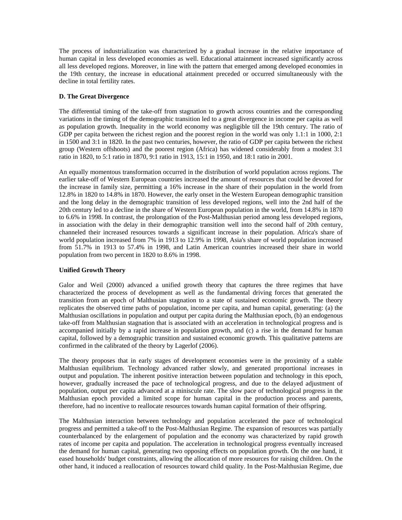The process of industrialization was characterized by a gradual increase in the relative importance of human capital in less developed economies as well. Educational attainment increased significantly across all less developed regions. Moreover, in line with the pattern that emerged among developed economies in the 19th century, the increase in educational attainment preceded or occurred simultaneously with the decline in total fertility rates.

# **D. The Great Divergence**

The differential timing of the take-off from stagnation to growth across countries and the corresponding variations in the timing of the demographic transition led to a great divergence in income per capita as well as population growth. Inequality in the world economy was negligible till the 19th century. The ratio of GDP per capita between the richest region and the poorest region in the world was only 1.1:1 in 1000, 2:1 in 1500 and 3:1 in 1820. In the past two centuries, however, the ratio of GDP per capita between the richest group (Western offshoots) and the poorest region (Africa) has widened considerably from a modest 3:1 ratio in 1820, to 5:1 ratio in 1870, 9:1 ratio in 1913, 15:1 in 1950, and 18:1 ratio in 2001.

An equally momentous transformation occurred in the distribution of world population across regions. The earlier take-off of Western European countries increased the amount of resources that could be devoted for the increase in family size, permitting a 16% increase in the share of their population in the world from 12.8% in 1820 to 14.8% in 1870. However, the early onset in the Western European demographic transition and the long delay in the demographic transition of less developed regions, well into the 2nd half of the 20th century led to a decline in the share of Western European population in the world, from 14.8% in 1870 to 6.6% in 1998. In contrast, the prolongation of the Post-Malthusian period among less developed regions, in association with the delay in their demographic transition well into the second half of 20th century, channeled their increased resources towards a significant increase in their population. Africa's share of world population increased from 7% in 1913 to 12.9% in 1998, Asia's share of world population increased from 51.7% in 1913 to 57.4% in 1998, and Latin American countries increased their share in world population from two percent in 1820 to 8.6% in 1998.

# **Unified Growth Theory**

Galor and Weil (2000) advanced a unified growth theory that captures the three regimes that have characterized the process of development as well as the fundamental driving forces that generated the transition from an epoch of Malthusian stagnation to a state of sustained economic growth. The theory replicates the observed time paths of population, income per capita, and human capital, generating: (a) the Malthusian oscillations in population and output per capita during the Malthusian epoch, (b) an endogenous take-off from Malthusian stagnation that is associated with an acceleration in technological progress and is accompanied initially by a rapid increase in population growth, and (c) a rise in the demand for human capital, followed by a demographic transition and sustained economic growth. This qualitative patterns are confirmed in the calibrated of the theory by Lagerlof (2006).

The theory proposes that in early stages of development economies were in the proximity of a stable Malthusian equilibrium. Technology advanced rather slowly, and generated proportional increases in output and population. The inherent positive interaction between population and technology in this epoch, however, gradually increased the pace of technological progress, and due to the delayed adjustment of population, output per capita advanced at a miniscule rate. The slow pace of technological progress in the Malthusian epoch provided a limited scope for human capital in the production process and parents, therefore, had no incentive to reallocate resources towards human capital formation of their offspring.

The Malthusian interaction between technology and population accelerated the pace of technological progress and permitted a take-off to the Post-Malthusian Regime. The expansion of resources was partially counterbalanced by the enlargement of population and the economy was characterized by rapid growth rates of income per capita and population. The acceleration in technological progress eventually increased the demand for human capital, generating two opposing effects on population growth. On the one hand, it eased households' budget constraints, allowing the allocation of more resources for raising children. On the other hand, it induced a reallocation of resources toward child quality. In the Post-Malthusian Regime, due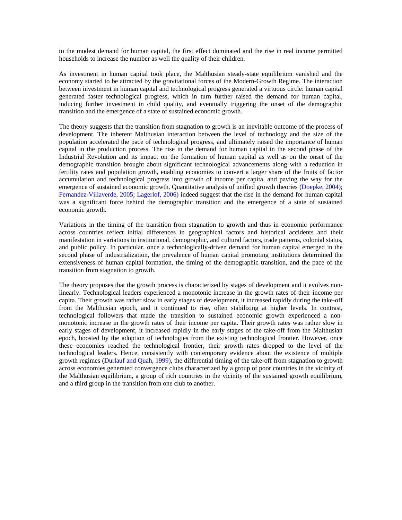to the modest demand for human capital, the first effect dominated and the rise in real income permitted households to increase the number as well the quality of their children.

As investment in human capital took place, the Malthusian steady-state equilibrium vanished and the economy started to be attracted by the gravitational forces of the Modern-Growth Regime. The interaction between investment in human capital and technological progress generated a virtuous circle: human capital generated faster technological progress, which in turn further raised the demand for human capital, inducing further investment in child quality, and eventually triggering the onset of the demographic transition and the emergence of a state of sustained economic growth.

The theory suggests that the transition from stagnation to growth is an inevitable outcome of the process of development. The inherent Malthusian interaction between the level of technology and the size of the population accelerated the pace of technological progress, and ultimately raised the importance of human capital in the production process. The rise in the demand for human capital in the second phase of the Industrial Revolution and its impact on the formation of human capital as well as on the onset of the demographic transition brought about significant technological advancements along with a reduction in fertility rates and population growth, enabling economies to convert a larger share of the fruits of factor accumulation and technological progress into growth of income per capita, and paving the way for the emergence of sustained economic growth. Quantitative analysis of unified growth theories (Doepke, 2004); Fernandez-Villaverde, 2005; Lagerlof, 2006) indeed suggest that the rise in the demand for human capital was a significant force behind the demographic transition and the emergence of a state of sustained economic growth.

Variations in the timing of the transition from stagnation to growth and thus in economic performance across countries reflect initial differences in geographical factors and historical accidents and their manifestation in variations in institutional, demographic, and cultural factors, trade patterns, colonial status, and public policy. In particular, once a technologically-driven demand for human capital emerged in the second phase of industrialization, the prevalence of human capital promoting institutions determined the extensiveness of human capital formation, the timing of the demographic transition, and the pace of the transition from stagnation to growth.

The theory proposes that the growth process is characterized by stages of development and it evolves nonlinearly. Technological leaders experienced a monotonic increase in the growth rates of their income per capita. Their growth was rather slow in early stages of development, it increased rapidly during the take-off from the Malthusian epoch, and it continued to rise, often stabilizing at higher levels. In contrast, technological followers that made the transition to sustained economic growth experienced a nonmonotonic increase in the growth rates of their income per capita. Their growth rates was rather slow in early stages of development, it increased rapidly in the early stages of the take-off from the Malthusian epoch, boosted by the adoption of technologies from the existing technological frontier. However, once these economies reached the technological frontier, their growth rates dropped to the level of the technological leaders. Hence, consistently with contemporary evidence about the existence of multiple growth regimes (Durlauf and Quah, 1999), the differential timing of the take-off from stagnation to growth across economies generated convergence clubs characterized by a group of poor countries in the vicinity of the Malthusian equilibrium, a group of rich countries in the vicinity of the sustained growth equilibrium, and a third group in the transition from one club to another.